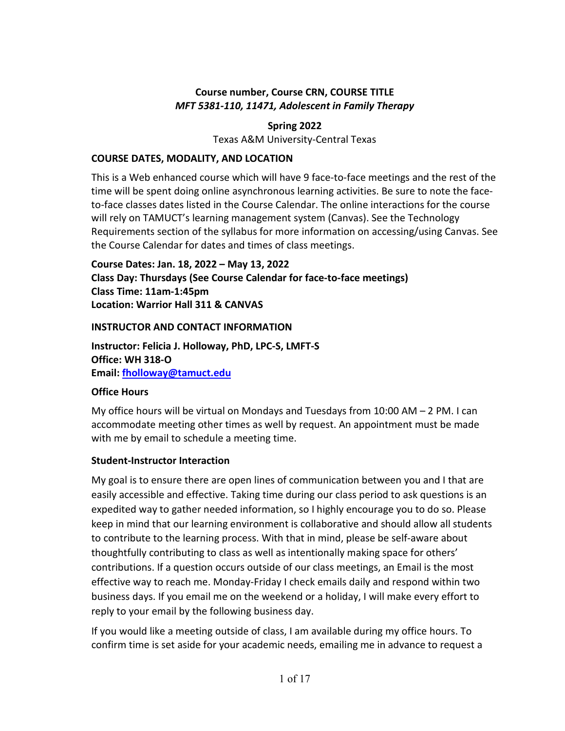# **Course number, Course CRN, COURSE TITLE** *MFT 5381-110, 11471, Adolescent in Family Therapy*

# **Spring 2022**

Texas A&M University-Central Texas

### **COURSE DATES, MODALITY, AND LOCATION**

This is a Web enhanced course which will have 9 face-to-face meetings and the rest of the time will be spent doing online asynchronous learning activities. Be sure to note the faceto-face classes dates listed in the Course Calendar. The online interactions for the course will rely on TAMUCT's learning management system (Canvas). See the Technology Requirements section of the syllabus for more information on accessing/using Canvas. See the Course Calendar for dates and times of class meetings.

**Course Dates: Jan. 18, 2022 – May 13, 2022 Class Day: Thursdays (See Course Calendar for face-to-face meetings) Class Time: 11am-1:45pm Location: Warrior Hall 311 & CANVAS**

### **INSTRUCTOR AND CONTACT INFORMATION**

**Instructor: Felicia J. Holloway, PhD, LPC-S, LMFT-S Office: WH 318-O Email: [fholloway@tamuct.edu](mailto:fholloway@tamuct.edu)**

## **Office Hours**

My office hours will be virtual on Mondays and Tuesdays from 10:00 AM – 2 PM. I can accommodate meeting other times as well by request. An appointment must be made with me by email to schedule a meeting time.

## **Student-Instructor Interaction**

My goal is to ensure there are open lines of communication between you and I that are easily accessible and effective. Taking time during our class period to ask questions is an expedited way to gather needed information, so I highly encourage you to do so. Please keep in mind that our learning environment is collaborative and should allow all students to contribute to the learning process. With that in mind, please be self-aware about thoughtfully contributing to class as well as intentionally making space for others' contributions. If a question occurs outside of our class meetings, an Email is the most effective way to reach me. Monday-Friday I check emails daily and respond within two business days. If you email me on the weekend or a holiday, I will make every effort to reply to your email by the following business day.

If you would like a meeting outside of class, I am available during my office hours. To confirm time is set aside for your academic needs, emailing me in advance to request a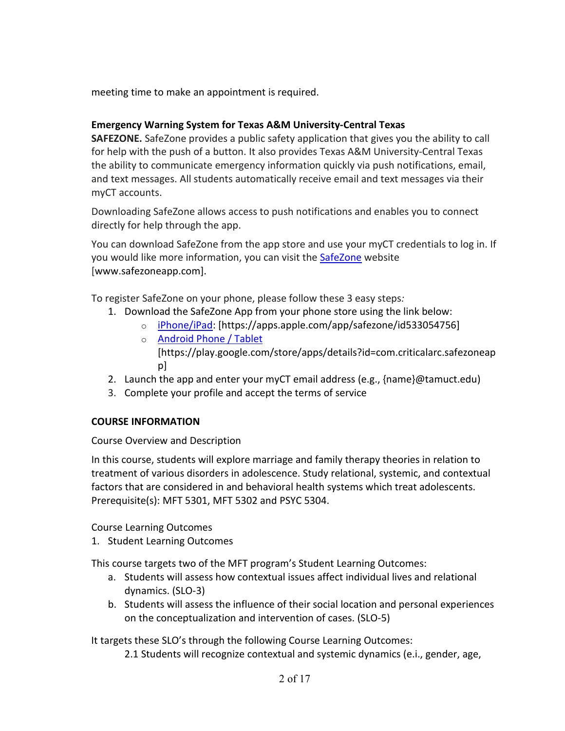meeting time to make an appointment is required.

## **Emergency Warning System for Texas A&M University-Central Texas**

**SAFEZONE.** SafeZone provides a public safety application that gives you the ability to call for help with the push of a button. It also provides Texas A&M University-Central Texas the ability to communicate emergency information quickly via push notifications, email, and text messages. All students automatically receive email and text messages via their myCT accounts.

Downloading SafeZone allows access to push notifications and enables you to connect directly for help through the app.

You can download SafeZone from the app store and use your myCT credentials to log in. If you would like more information, you can visit the [SafeZone](http://www.safezoneapp.com/) website [www.safezoneapp.com].

To register SafeZone on your phone, please follow these 3 easy steps*:*

- 1. Download the SafeZone App from your phone store using the link below:
	- o [iPhone/iPad:](https://apps.apple.com/app/safezone/id533054756) [https://apps.apple.com/app/safezone/id533054756]
	- o **[Android Phone / Tablet](https://play.google.com/store/apps/details?id=com.criticalarc.safezoneapp)** [https://play.google.com/store/apps/details?id=com.criticalarc.safezoneap p]
- 2. Launch the app and enter your myCT email address (e.g., {name}@tamuct.edu)
- 3. Complete your profile and accept the terms of service

## **COURSE INFORMATION**

Course Overview and Description

In this course, students will explore marriage and family therapy theories in relation to treatment of various disorders in adolescence. Study relational, systemic, and contextual factors that are considered in and behavioral health systems which treat adolescents. Prerequisite(s): MFT 5301, MFT 5302 and PSYC 5304.

Course Learning Outcomes

1. Student Learning Outcomes

This course targets two of the MFT program's Student Learning Outcomes:

- a. Students will assess how contextual issues affect individual lives and relational dynamics. (SLO-3)
- b. Students will assess the influence of their social location and personal experiences on the conceptualization and intervention of cases. (SLO-5)

It targets these SLO's through the following Course Learning Outcomes:

2.1 Students will recognize contextual and systemic dynamics (e.i., gender, age,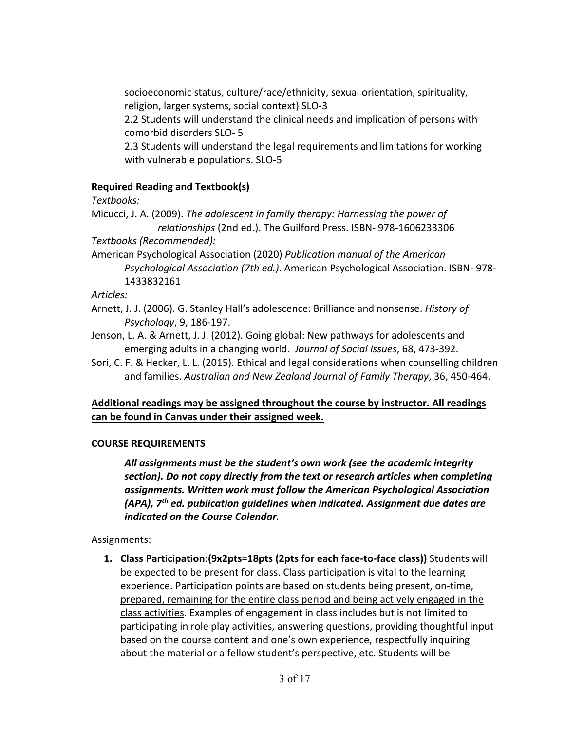socioeconomic status, culture/race/ethnicity, sexual orientation, spirituality, religion, larger systems, social context) SLO-3

2.2 Students will understand the clinical needs and implication of persons with comorbid disorders SLO- 5

2.3 Students will understand the legal requirements and limitations for working with vulnerable populations. SLO-5

## **Required Reading and Textbook(s)**

*Textbooks:*

Micucci, J. A. (2009). *The adolescent in family therapy: Harnessing the power of relationships* (2nd ed.). The Guilford Press. ISBN- 978-1606233306

*Textbooks (Recommended):* 

American Psychological Association (2020) *Publication manual of the American Psychological Association (7th ed.)*. American Psychological Association. ISBN- 978- 1433832161

*Articles:*

- Arnett, J. J. (2006). G. Stanley Hall's adolescence: Brilliance and nonsense. *History of Psychology*, 9, 186-197.
- Jenson, L. A. & Arnett, J. J. (2012). Going global: New pathways for adolescents and emerging adults in a changing world. *Journal of Social Issues*, 68, 473-392.
- Sori, C. F. & Hecker, L. L. (2015). Ethical and legal considerations when counselling children and families. *Australian and New Zealand Journal of Family Therapy*, 36, 450-464.

# **Additional readings may be assigned throughout the course by instructor. All readings can be found in Canvas under their assigned week.**

## **COURSE REQUIREMENTS**

*All assignments must be the student's own work (see the academic integrity section). Do not copy directly from the text or research articles when completing assignments. Written work must follow the American Psychological Association (APA), 7th ed. publication guidelines when indicated. Assignment due dates are indicated on the Course Calendar.*

Assignments:

**1. Class Participation**:**(9x2pts=18pts (2pts for each face-to-face class))** Students will be expected to be present for class. Class participation is vital to the learning experience. Participation points are based on students being present, on-time, prepared, remaining for the entire class period and being actively engaged in the class activities. Examples of engagement in class includes but is not limited to participating in role play activities, answering questions, providing thoughtful input based on the course content and one's own experience, respectfully inquiring about the material or a fellow student's perspective, etc. Students will be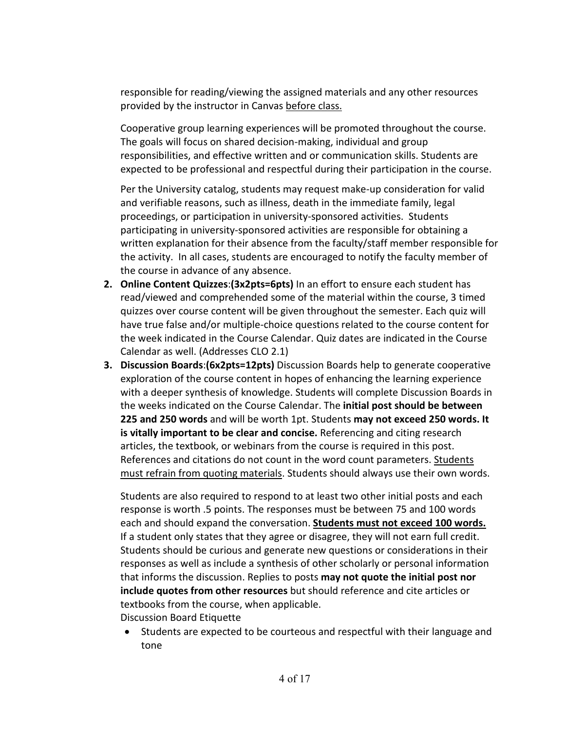responsible for reading/viewing the assigned materials and any other resources provided by the instructor in Canvas before class.

Cooperative group learning experiences will be promoted throughout the course. The goals will focus on shared decision-making, individual and group responsibilities, and effective written and or communication skills. Students are expected to be professional and respectful during their participation in the course.

Per the University catalog, students may request make-up consideration for valid and verifiable reasons, such as illness, death in the immediate family, legal proceedings, or participation in university-sponsored activities. Students participating in university-sponsored activities are responsible for obtaining a written explanation for their absence from the faculty/staff member responsible for the activity. In all cases, students are encouraged to notify the faculty member of the course in advance of any absence.

- **2. Online Content Quizzes**:**(3x2pts=6pts)** In an effort to ensure each student has read/viewed and comprehended some of the material within the course, 3 timed quizzes over course content will be given throughout the semester. Each quiz will have true false and/or multiple-choice questions related to the course content for the week indicated in the Course Calendar. Quiz dates are indicated in the Course Calendar as well. (Addresses CLO 2.1)
- **3. Discussion Boards**:**(6x2pts=12pts)** Discussion Boards help to generate cooperative exploration of the course content in hopes of enhancing the learning experience with a deeper synthesis of knowledge. Students will complete Discussion Boards in the weeks indicated on the Course Calendar. The **initial post should be between 225 and 250 words** and will be worth 1pt. Students **may not exceed 250 words. It is vitally important to be clear and concise.** Referencing and citing research articles, the textbook, or webinars from the course is required in this post. References and citations do not count in the word count parameters. Students must refrain from quoting materials. Students should always use their own words.

Students are also required to respond to at least two other initial posts and each response is worth .5 points. The responses must be between 75 and 100 words each and should expand the conversation. **Students must not exceed 100 words.** If a student only states that they agree or disagree, they will not earn full credit. Students should be curious and generate new questions or considerations in their responses as well as include a synthesis of other scholarly or personal information that informs the discussion. Replies to posts **may not quote the initial post nor include quotes from other resources** but should reference and cite articles or textbooks from the course, when applicable. Discussion Board Etiquette

• Students are expected to be courteous and respectful with their language and tone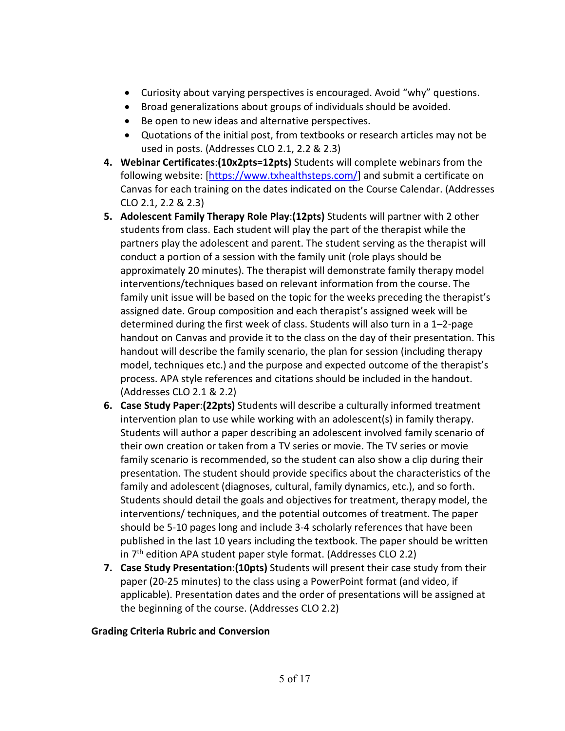- Curiosity about varying perspectives is encouraged. Avoid "why" questions.
- Broad generalizations about groups of individuals should be avoided.
- Be open to new ideas and alternative perspectives.
- Quotations of the initial post, from textbooks or research articles may not be used in posts. (Addresses CLO 2.1, 2.2 & 2.3)
- **4. Webinar Certificates**:**(10x2pts=12pts)** Students will complete webinars from the following website: [\[https://www.txhealthsteps.com/\]](https://www.txhealthsteps.com/) and submit a certificate on Canvas for each training on the dates indicated on the Course Calendar. (Addresses CLO 2.1, 2.2 & 2.3)
- **5. Adolescent Family Therapy Role Play**:**(12pts)** Students will partner with 2 other students from class. Each student will play the part of the therapist while the partners play the adolescent and parent. The student serving as the therapist will conduct a portion of a session with the family unit (role plays should be approximately 20 minutes). The therapist will demonstrate family therapy model interventions/techniques based on relevant information from the course. The family unit issue will be based on the topic for the weeks preceding the therapist's assigned date. Group composition and each therapist's assigned week will be determined during the first week of class. Students will also turn in a 1–2-page handout on Canvas and provide it to the class on the day of their presentation. This handout will describe the family scenario, the plan for session (including therapy model, techniques etc.) and the purpose and expected outcome of the therapist's process. APA style references and citations should be included in the handout. (Addresses CLO 2.1 & 2.2)
- **6. Case Study Paper**:**(22pts)** Students will describe a culturally informed treatment intervention plan to use while working with an adolescent(s) in family therapy. Students will author a paper describing an adolescent involved family scenario of their own creation or taken from a TV series or movie. The TV series or movie family scenario is recommended, so the student can also show a clip during their presentation. The student should provide specifics about the characteristics of the family and adolescent (diagnoses, cultural, family dynamics, etc.), and so forth. Students should detail the goals and objectives for treatment, therapy model, the interventions/ techniques, and the potential outcomes of treatment. The paper should be 5-10 pages long and include 3-4 scholarly references that have been published in the last 10 years including the textbook. The paper should be written in  $7<sup>th</sup>$  edition APA student paper style format. (Addresses CLO 2.2)
- **7. Case Study Presentation**:**(10pts)** Students will present their case study from their paper (20-25 minutes) to the class using a PowerPoint format (and video, if applicable). Presentation dates and the order of presentations will be assigned at the beginning of the course. (Addresses CLO 2.2)

## **Grading Criteria Rubric and Conversion**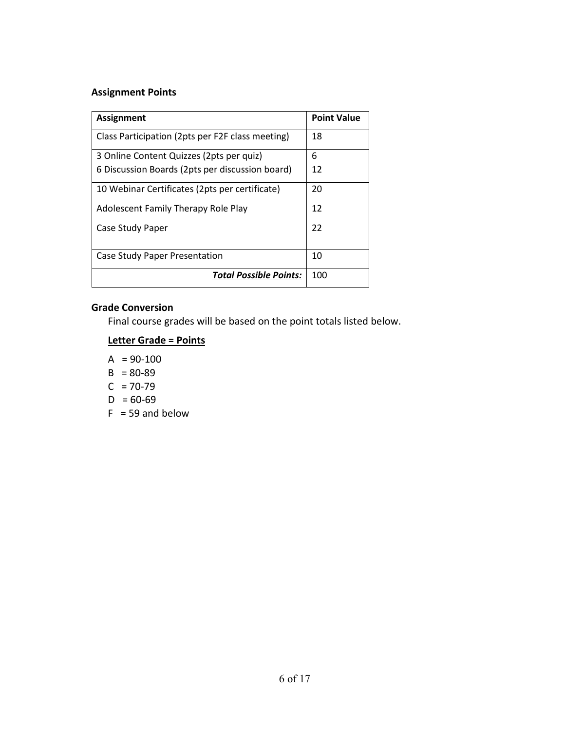### **Assignment Points**

| <b>Assignment</b>                                | <b>Point Value</b> |
|--------------------------------------------------|--------------------|
| Class Participation (2pts per F2F class meeting) | 18                 |
| 3 Online Content Quizzes (2pts per quiz)         | 6                  |
| 6 Discussion Boards (2pts per discussion board)  | 12                 |
| 10 Webinar Certificates (2pts per certificate)   | 20                 |
| Adolescent Family Therapy Role Play              | 12                 |
| Case Study Paper                                 | 22                 |
| Case Study Paper Presentation                    | 10                 |
| <b>Total Possible Points:</b>                    | 100                |

#### **Grade Conversion**

Final course grades will be based on the point totals listed below.

# **Letter Grade = Points**

- $A = 90-100$
- $B = 80-89$
- $C = 70-79$
- $D = 60-69$
- $F = 59$  and below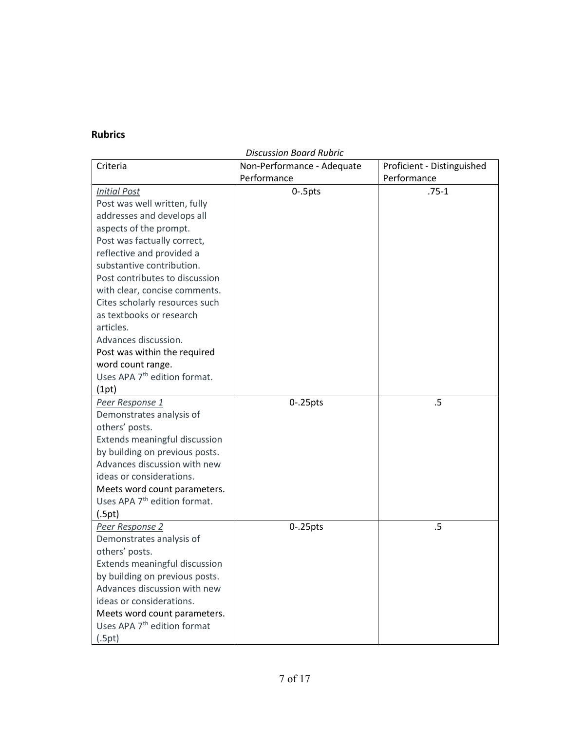# **Rubrics**

|--|

| Criteria                                 | Non-Performance - Adequate | Proficient - Distinguished |
|------------------------------------------|----------------------------|----------------------------|
|                                          | Performance                | Performance                |
| <b>Initial Post</b>                      | $0 - 5$ pts                | $.75-1$                    |
| Post was well written, fully             |                            |                            |
| addresses and develops all               |                            |                            |
| aspects of the prompt.                   |                            |                            |
| Post was factually correct,              |                            |                            |
| reflective and provided a                |                            |                            |
| substantive contribution.                |                            |                            |
| Post contributes to discussion           |                            |                            |
| with clear, concise comments.            |                            |                            |
| Cites scholarly resources such           |                            |                            |
| as textbooks or research                 |                            |                            |
| articles.                                |                            |                            |
| Advances discussion.                     |                            |                            |
| Post was within the required             |                            |                            |
| word count range.                        |                            |                            |
| Uses APA 7 <sup>th</sup> edition format. |                            |                            |
| (1pt)                                    |                            |                            |
| Peer Response 1                          | $0 - 25$ pts               | .5                         |
| Demonstrates analysis of                 |                            |                            |
| others' posts.                           |                            |                            |
| Extends meaningful discussion            |                            |                            |
| by building on previous posts.           |                            |                            |
| Advances discussion with new             |                            |                            |
| ideas or considerations.                 |                            |                            |
| Meets word count parameters.             |                            |                            |
| Uses APA 7 <sup>th</sup> edition format. |                            |                            |
| (.5pt)                                   |                            |                            |
| Peer Response 2                          | $0 - 25$ pts               | .5                         |
| Demonstrates analysis of                 |                            |                            |
| others' posts.                           |                            |                            |
| Extends meaningful discussion            |                            |                            |
| by building on previous posts.           |                            |                            |
| Advances discussion with new             |                            |                            |
| ideas or considerations.                 |                            |                            |
| Meets word count parameters.             |                            |                            |
| Uses APA 7 <sup>th</sup> edition format  |                            |                            |
| (.5pt)                                   |                            |                            |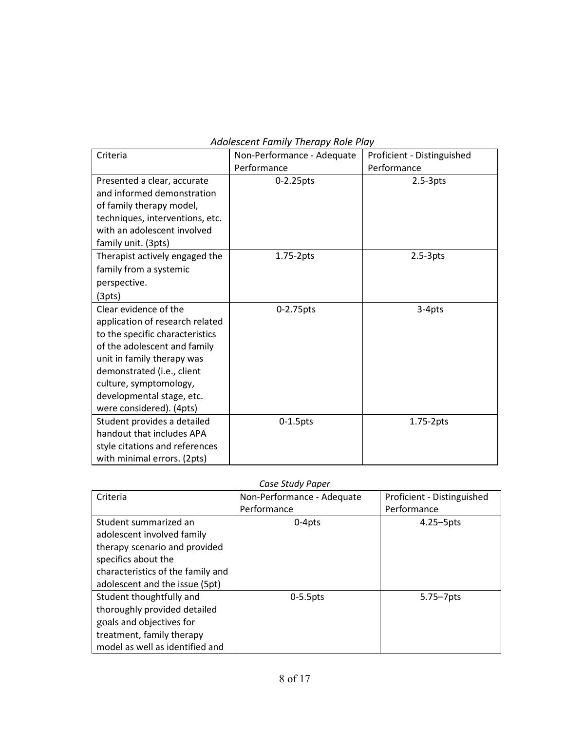| Criteria                        | Non-Performance - Adequate | Proficient - Distinguished |
|---------------------------------|----------------------------|----------------------------|
|                                 | Performance                | Performance                |
| Presented a clear, accurate     | 0-2.25pts                  | $2.5-3pts$                 |
| and informed demonstration      |                            |                            |
| of family therapy model,        |                            |                            |
| techniques, interventions, etc. |                            |                            |
| with an adolescent involved     |                            |                            |
| family unit. (3pts)             |                            |                            |
| Therapist actively engaged the  | 1.75-2pts                  | $2.5-3pts$                 |
| family from a systemic          |                            |                            |
| perspective.                    |                            |                            |
| (3pts)                          |                            |                            |
| Clear evidence of the           | 0-2.75pts                  | 3-4pts                     |
| application of research related |                            |                            |
| to the specific characteristics |                            |                            |
| of the adolescent and family    |                            |                            |
| unit in family therapy was      |                            |                            |
| demonstrated (i.e., client      |                            |                            |
| culture, symptomology,          |                            |                            |
| developmental stage, etc.       |                            |                            |
| were considered). (4pts)        |                            |                            |
| Student provides a detailed     | $0-1.5$ pts                | 1.75-2pts                  |
| handout that includes APA       |                            |                            |
| style citations and references  |                            |                            |
| with minimal errors. (2pts)     |                            |                            |

#### *Adolescent Family Therapy Role Play*

#### *Case Study Paper*

| Criteria                          | Non-Performance - Adequate | Proficient - Distinguished |
|-----------------------------------|----------------------------|----------------------------|
|                                   | Performance                | Performance                |
| Student summarized an             | $0-4pts$                   | $4.25 - 5$ pts             |
| adolescent involved family        |                            |                            |
| therapy scenario and provided     |                            |                            |
| specifics about the               |                            |                            |
| characteristics of the family and |                            |                            |
| adolescent and the issue (5pt)    |                            |                            |
| Student thoughtfully and          | $0-5.5$ pts                | 5.75-7pts                  |
| thoroughly provided detailed      |                            |                            |
| goals and objectives for          |                            |                            |
| treatment, family therapy         |                            |                            |
| model as well as identified and   |                            |                            |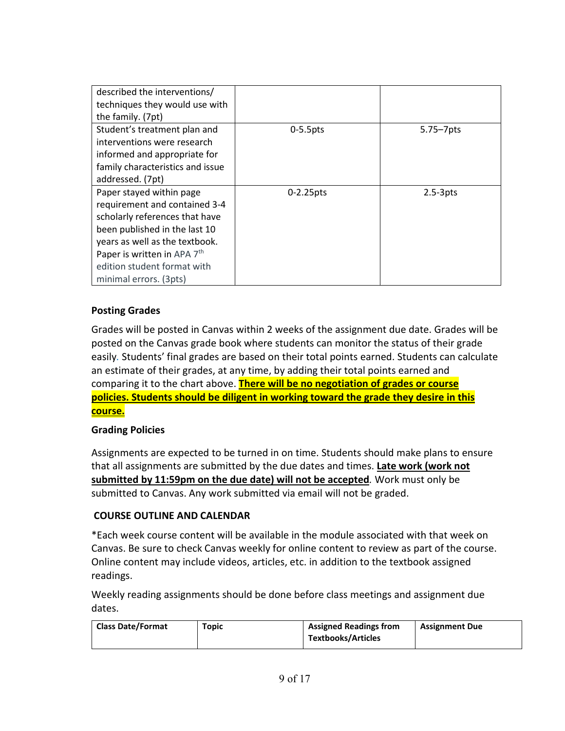| described the interventions/<br>techniques they would use with<br>the family. (7pt)                                                                                                                                                                                |              |                |
|--------------------------------------------------------------------------------------------------------------------------------------------------------------------------------------------------------------------------------------------------------------------|--------------|----------------|
| Student's treatment plan and<br>interventions were research<br>informed and appropriate for<br>family characteristics and issue<br>addressed. (7pt)                                                                                                                | $0-5.5$ pts  | $5.75 - 7$ pts |
| Paper stayed within page<br>requirement and contained 3-4<br>scholarly references that have<br>been published in the last 10<br>years as well as the textbook.<br>Paper is written in APA 7 <sup>th</sup><br>edition student format with<br>minimal errors. (3pts) | $0-2.25$ pts | $2.5-3pts$     |

## **Posting Grades**

Grades will be posted in Canvas within 2 weeks of the assignment due date. Grades will be posted on the Canvas grade book where students can monitor the status of their grade easily*.* Students' final grades are based on their total points earned. Students can calculate an estimate of their grades, at any time, by adding their total points earned and comparing it to the chart above. **There will be no negotiation of grades or course policies. Students should be diligent in working toward the grade they desire in this course.**

## **Grading Policies**

Assignments are expected to be turned in on time. Students should make plans to ensure that all assignments are submitted by the due dates and times. **Late work (work not submitted by 11:59pm on the due date) will not be accepted***.* Work must only be submitted to Canvas. Any work submitted via email will not be graded.

## **COURSE OUTLINE AND CALENDAR**

\*Each week course content will be available in the module associated with that week on Canvas. Be sure to check Canvas weekly for online content to review as part of the course. Online content may include videos, articles, etc. in addition to the textbook assigned readings.

Weekly reading assignments should be done before class meetings and assignment due dates.

| <b>Class Date/Format</b> | Topic | <b>Assigned Readings from</b> | <b>Assignment Due</b> |
|--------------------------|-------|-------------------------------|-----------------------|
|                          |       | <b>Textbooks/Articles</b>     |                       |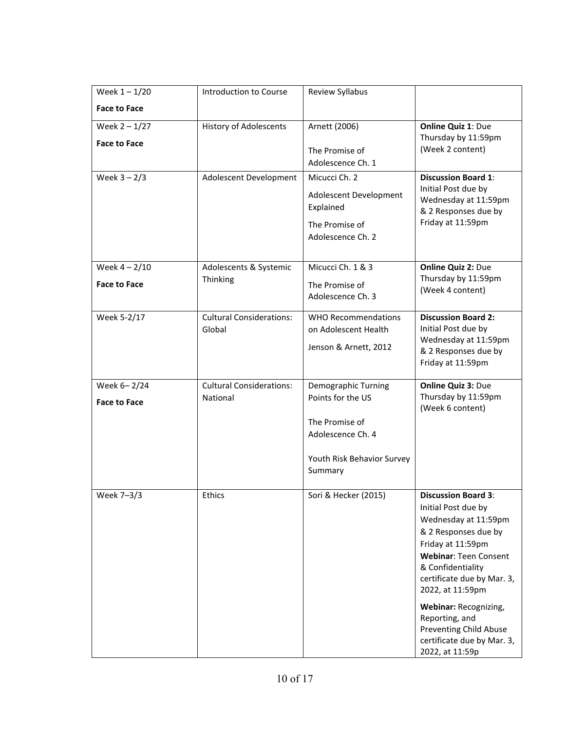| Week $1 - 1/20$                        | Introduction to Course                    | Review Syllabus                                                                        |                                                                                                                                                                                                                                                                                                                                                            |
|----------------------------------------|-------------------------------------------|----------------------------------------------------------------------------------------|------------------------------------------------------------------------------------------------------------------------------------------------------------------------------------------------------------------------------------------------------------------------------------------------------------------------------------------------------------|
| <b>Face to Face</b>                    |                                           |                                                                                        |                                                                                                                                                                                                                                                                                                                                                            |
| Week $2 - 1/27$<br><b>Face to Face</b> | <b>History of Adolescents</b>             | Arnett (2006)<br>The Promise of                                                        | Online Quiz 1: Due<br>Thursday by 11:59pm<br>(Week 2 content)                                                                                                                                                                                                                                                                                              |
| Week $3 - 2/3$                         | Adolescent Development                    | Adolescence Ch. 1<br>Micucci Ch. 2                                                     | <b>Discussion Board 1:</b>                                                                                                                                                                                                                                                                                                                                 |
|                                        |                                           | Adolescent Development<br>Explained<br>The Promise of<br>Adolescence Ch. 2             | Initial Post due by<br>Wednesday at 11:59pm<br>& 2 Responses due by<br>Friday at 11:59pm                                                                                                                                                                                                                                                                   |
| Week $4 - 2/10$                        | Adolescents & Systemic                    | Micucci Ch. 1 & 3                                                                      | <b>Online Quiz 2: Due</b>                                                                                                                                                                                                                                                                                                                                  |
| <b>Face to Face</b>                    | Thinking                                  | The Promise of<br>Adolescence Ch. 3                                                    | Thursday by 11:59pm<br>(Week 4 content)                                                                                                                                                                                                                                                                                                                    |
| Week 5-2/17                            | <b>Cultural Considerations:</b><br>Global | <b>WHO Recommendations</b><br>on Adolescent Health<br>Jenson & Arnett, 2012            | <b>Discussion Board 2:</b><br>Initial Post due by<br>Wednesday at 11:59pm<br>& 2 Responses due by<br>Friday at 11:59pm                                                                                                                                                                                                                                     |
| Week 6-2/24                            | <b>Cultural Considerations:</b>           | Demographic Turning                                                                    | Online Quiz 3: Due                                                                                                                                                                                                                                                                                                                                         |
| <b>Face to Face</b>                    | National                                  | Points for the US<br>The Promise of<br>Adolescence Ch. 4<br>Youth Risk Behavior Survey | Thursday by 11:59pm<br>(Week 6 content)                                                                                                                                                                                                                                                                                                                    |
|                                        |                                           | Summary                                                                                |                                                                                                                                                                                                                                                                                                                                                            |
| Week 7-3/3                             | <b>Ethics</b>                             | Sori & Hecker (2015)                                                                   | <b>Discussion Board 3:</b><br>Initial Post due by<br>Wednesday at 11:59pm<br>& 2 Responses due by<br>Friday at 11:59pm<br><b>Webinar: Teen Consent</b><br>& Confidentiality<br>certificate due by Mar. 3,<br>2022, at 11:59pm<br>Webinar: Recognizing,<br>Reporting, and<br><b>Preventing Child Abuse</b><br>certificate due by Mar. 3,<br>2022, at 11:59p |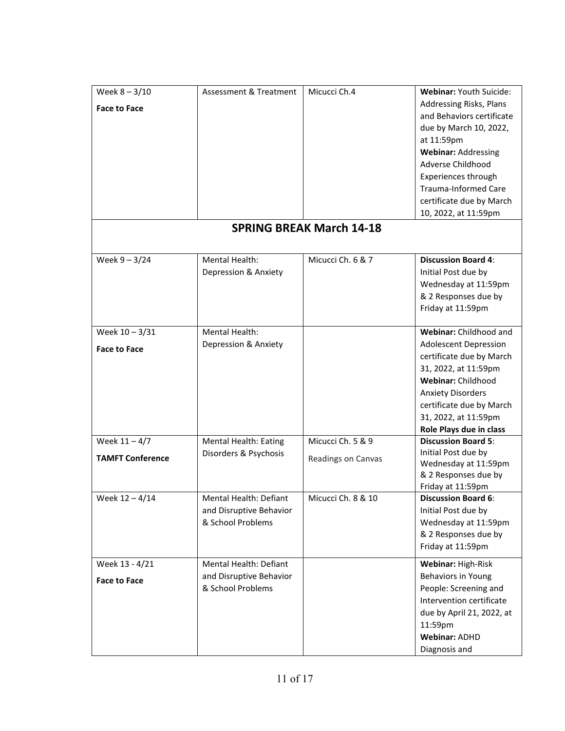| Week $8 - 3/10$         | <b>Assessment &amp; Treatment</b> | Micucci Ch.4                    | Webinar: Youth Suicide:      |
|-------------------------|-----------------------------------|---------------------------------|------------------------------|
|                         |                                   |                                 | Addressing Risks, Plans      |
| <b>Face to Face</b>     |                                   |                                 | and Behaviors certificate    |
|                         |                                   |                                 | due by March 10, 2022,       |
|                         |                                   |                                 | at 11:59pm                   |
|                         |                                   |                                 | <b>Webinar: Addressing</b>   |
|                         |                                   |                                 | Adverse Childhood            |
|                         |                                   |                                 | Experiences through          |
|                         |                                   |                                 | Trauma-Informed Care         |
|                         |                                   |                                 | certificate due by March     |
|                         |                                   |                                 | 10, 2022, at 11:59pm         |
|                         |                                   | <b>SPRING BREAK March 14-18</b> |                              |
|                         |                                   |                                 |                              |
| Week $9 - 3/24$         | Mental Health:                    | Micucci Ch. 6 & 7               | <b>Discussion Board 4:</b>   |
|                         | Depression & Anxiety              |                                 | Initial Post due by          |
|                         |                                   |                                 | Wednesday at 11:59pm         |
|                         |                                   |                                 | & 2 Responses due by         |
|                         |                                   |                                 | Friday at 11:59pm            |
|                         |                                   |                                 |                              |
| Week 10 - 3/31          | Mental Health:                    |                                 | Webinar: Childhood and       |
|                         | Depression & Anxiety              |                                 | <b>Adolescent Depression</b> |
| <b>Face to Face</b>     |                                   |                                 | certificate due by March     |
|                         |                                   |                                 | 31, 2022, at 11:59pm         |
|                         |                                   |                                 | Webinar: Childhood           |
|                         |                                   |                                 | <b>Anxiety Disorders</b>     |
|                         |                                   |                                 | certificate due by March     |
|                         |                                   |                                 | 31, 2022, at 11:59pm         |
|                         |                                   |                                 | Role Plays due in class      |
| Week $11 - 4/7$         | <b>Mental Health: Eating</b>      | Micucci Ch. 5 & 9               | <b>Discussion Board 5:</b>   |
| <b>TAMFT Conference</b> | Disorders & Psychosis             |                                 | Initial Post due by          |
|                         |                                   | Readings on Canvas              | Wednesday at 11:59pm         |
|                         |                                   |                                 | & 2 Responses due by         |
|                         |                                   |                                 | Friday at 11:59pm            |
| Week 12 - 4/14          | Mental Health: Defiant            | Micucci Ch. 8 & 10              | <b>Discussion Board 6:</b>   |
|                         | and Disruptive Behavior           |                                 | Initial Post due by          |
|                         | & School Problems                 |                                 | Wednesday at 11:59pm         |
|                         |                                   |                                 | & 2 Responses due by         |
|                         |                                   |                                 | Friday at 11:59pm            |
| Week 13 - 4/21          | Mental Health: Defiant            |                                 | Webinar: High-Risk           |
| <b>Face to Face</b>     | and Disruptive Behavior           |                                 | Behaviors in Young           |
|                         | & School Problems                 |                                 | People: Screening and        |
|                         |                                   |                                 | Intervention certificate     |
|                         |                                   |                                 | due by April 21, 2022, at    |
|                         |                                   |                                 | 11:59pm                      |
|                         |                                   |                                 | <b>Webinar: ADHD</b>         |
|                         |                                   |                                 | Diagnosis and                |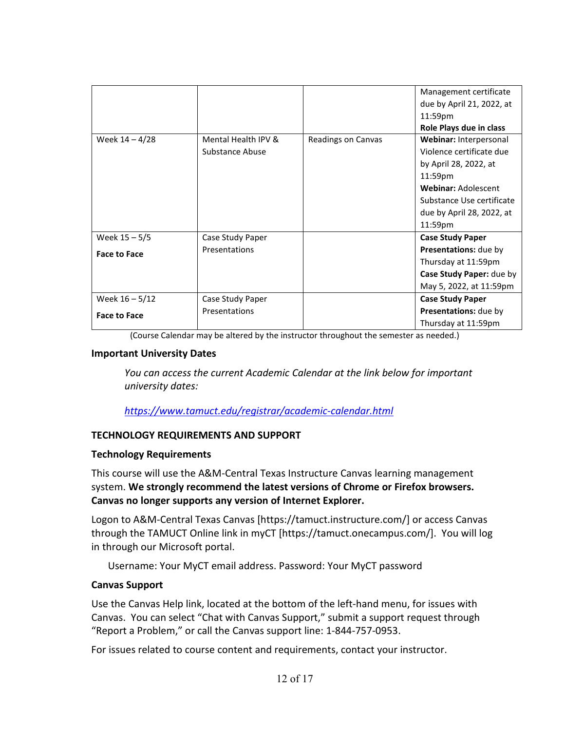|                     |                     |                    | Management certificate     |
|---------------------|---------------------|--------------------|----------------------------|
|                     |                     |                    | due by April 21, 2022, at  |
|                     |                     |                    | 11:59pm                    |
|                     |                     |                    | Role Plays due in class    |
| Week $14 - 4/28$    | Mental Health IPV & | Readings on Canvas | Webinar: Interpersonal     |
|                     | Substance Abuse     |                    | Violence certificate due   |
|                     |                     |                    | by April 28, 2022, at      |
|                     |                     |                    | 11:59pm                    |
|                     |                     |                    | <b>Webinar: Adolescent</b> |
|                     |                     |                    | Substance Use certificate  |
|                     |                     |                    | due by April 28, 2022, at  |
|                     |                     |                    | 11:59pm                    |
| Week $15 - 5/5$     | Case Study Paper    |                    | <b>Case Study Paper</b>    |
| <b>Face to Face</b> | Presentations       |                    | Presentations: due by      |
|                     |                     |                    | Thursday at 11:59pm        |
|                     |                     |                    | Case Study Paper: due by   |
|                     |                     |                    | May 5, 2022, at 11:59pm    |
| Week $16 - 5/12$    | Case Study Paper    |                    | <b>Case Study Paper</b>    |
| <b>Face to Face</b> | Presentations       |                    | Presentations: due by      |
|                     |                     |                    | Thursday at 11:59pm        |

(Course Calendar may be altered by the instructor throughout the semester as needed.)

#### **Important University Dates**

*You can access the current Academic Calendar at the link below for important university dates:*

### *<https://www.tamuct.edu/registrar/academic-calendar.html>*

### **TECHNOLOGY REQUIREMENTS AND SUPPORT**

### **Technology Requirements**

This course will use the A&M-Central Texas Instructure Canvas learning management system. **We strongly recommend the latest versions of Chrome or Firefox browsers. Canvas no longer supports any version of Internet Explorer.**

Logon to A&M-Central Texas Canvas [https://tamuct.instructure.com/] or access Canvas through the TAMUCT Online link in myCT [https://tamuct.onecampus.com/]. You will log in through our Microsoft portal.

Username: Your MyCT email address. Password: Your MyCT password

### **Canvas Support**

Use the Canvas Help link, located at the bottom of the left-hand menu, for issues with Canvas. You can select "Chat with Canvas Support," submit a support request through "Report a Problem," or call the Canvas support line: 1-844-757-0953.

For issues related to course content and requirements, contact your instructor.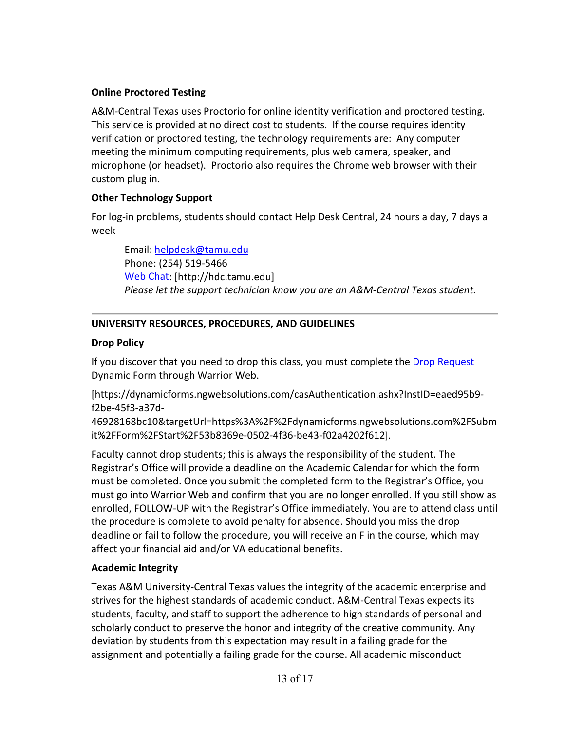## **Online Proctored Testing**

A&M-Central Texas uses Proctorio for online identity verification and proctored testing. This service is provided at no direct cost to students. If the course requires identity verification or proctored testing, the technology requirements are: Any computer meeting the minimum computing requirements, plus web camera, speaker, and microphone (or headset). Proctorio also requires the Chrome web browser with their custom plug in.

# **Other Technology Support**

For log-in problems, students should contact Help Desk Central, 24 hours a day, 7 days a week

Email: [helpdesk@tamu.edu](mailto:helpdesk@tamu.edu) Phone: (254) 519-5466 [Web Chat:](http://hdc.tamu.edu/) [http://hdc.tamu.edu] *Please let the support technician know you are an A&M-Central Texas student.*

# **UNIVERSITY RESOURCES, PROCEDURES, AND GUIDELINES**

# **Drop Policy**

If you discover that you need to drop this class, you must complete the [Drop Request](https://dynamicforms.ngwebsolutions.com/casAuthentication.ashx?InstID=eaed95b9-f2be-45f3-a37d-46928168bc10&targetUrl=https%3A%2F%2Fdynamicforms.ngwebsolutions.com%2FSubmit%2FForm%2FStart%2F53b8369e-0502-4f36-be43-f02a4202f612) Dynamic Form through Warrior Web.

[https://dynamicforms.ngwebsolutions.com/casAuthentication.ashx?InstID=eaed95b9 f2be-45f3-a37d-

46928168bc10&targetUrl=https%3A%2F%2Fdynamicforms.ngwebsolutions.com%2FSubm it%2FForm%2FStart%2F53b8369e-0502-4f36-be43-f02a4202f612].

Faculty cannot drop students; this is always the responsibility of the student. The Registrar's Office will provide a deadline on the Academic Calendar for which the form must be completed. Once you submit the completed form to the Registrar's Office, you must go into Warrior Web and confirm that you are no longer enrolled. If you still show as enrolled, FOLLOW-UP with the Registrar's Office immediately. You are to attend class until the procedure is complete to avoid penalty for absence. Should you miss the drop deadline or fail to follow the procedure, you will receive an F in the course, which may affect your financial aid and/or VA educational benefits.

# **Academic Integrity**

Texas A&M University-Central Texas values the integrity of the academic enterprise and strives for the highest standards of academic conduct. A&M-Central Texas expects its students, faculty, and staff to support the adherence to high standards of personal and scholarly conduct to preserve the honor and integrity of the creative community. Any deviation by students from this expectation may result in a failing grade for the assignment and potentially a failing grade for the course. All academic misconduct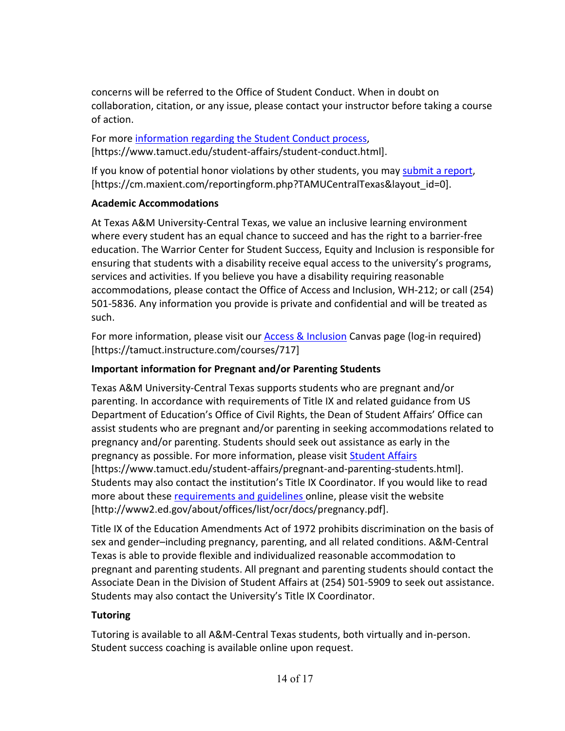concerns will be referred to the Office of Student Conduct. When in doubt on collaboration, citation, or any issue, please contact your instructor before taking a course of action.

For more [information](https://nam04.safelinks.protection.outlook.com/?url=https%3A%2F%2Fwww.tamuct.edu%2Fstudent-affairs%2Fstudent-conduct.html&data=04%7C01%7Clisa.bunkowski%40tamuct.edu%7Ccfb6e486f24745f53e1a08d910055cb2%7C9eed4e3000f744849ff193ad8005acec%7C0%7C0%7C637558437485252160%7CUnknown%7CTWFpbGZsb3d8eyJWIjoiMC4wLjAwMDAiLCJQIjoiV2luMzIiLCJBTiI6Ik1haWwiLCJXVCI6Mn0%3D%7C1000&sdata=yjftDEVHvLX%2FhM%2FcFU0B99krV1RgEWR%2BJ%2BhvtoR6TYk%3D&reserved=0) regarding the Student Conduct process, [https://www.tamuct.edu/student-affairs/student-conduct.html].

If you know of potential honor violations by other students, you may [submit](https://nam04.safelinks.protection.outlook.com/?url=https%3A%2F%2Fcm.maxient.com%2Freportingform.php%3FTAMUCentralTexas%26layout_id%3D0&data=04%7C01%7Clisa.bunkowski%40tamuct.edu%7Ccfb6e486f24745f53e1a08d910055cb2%7C9eed4e3000f744849ff193ad8005acec%7C0%7C0%7C637558437485262157%7CUnknown%7CTWFpbGZsb3d8eyJWIjoiMC4wLjAwMDAiLCJQIjoiV2luMzIiLCJBTiI6Ik1haWwiLCJXVCI6Mn0%3D%7C1000&sdata=CXGkOa6uPDPX1IMZ87z3aZDq2n91xfHKu4MMS43Ejjk%3D&reserved=0) a report, [https://cm.maxient.com/reportingform.php?TAMUCentralTexas&layout\_id=0].

# **Academic Accommodations**

At Texas A&M University-Central Texas, we value an inclusive learning environment where every student has an equal chance to succeed and has the right to a barrier-free education. The Warrior Center for Student Success, Equity and Inclusion is responsible for ensuring that students with a disability receive equal access to the university's programs, services and activities. If you believe you have a disability requiring reasonable accommodations, please contact the Office of Access and Inclusion, WH-212; or call (254) 501-5836. Any information you provide is private and confidential and will be treated as such.

For more information, please visit our [Access & Inclusion](https://tamuct.instructure.com/courses/717) Canvas page (log-in required) [https://tamuct.instructure.com/courses/717]

# **Important information for Pregnant and/or Parenting Students**

Texas A&M University-Central Texas supports students who are pregnant and/or parenting. In accordance with requirements of Title IX and related guidance from US Department of Education's Office of Civil Rights, the Dean of Student Affairs' Office can assist students who are pregnant and/or parenting in seeking accommodations related to pregnancy and/or parenting. Students should seek out assistance as early in the pregnancy as possible. For more information, please visit [Student Affairs](https://www.tamuct.edu/student-affairs/pregnant-and-parenting-students.html) [https://www.tamuct.edu/student-affairs/pregnant-and-parenting-students.html]. Students may also contact the institution's Title IX Coordinator. If you would like to read more about these [requirements and guidelines](http://www2.ed.gov/about/offices/list/ocr/docs/pregnancy.pdf) online, please visit the website [http://www2.ed.gov/about/offices/list/ocr/docs/pregnancy.pdf].

Title IX of the Education Amendments Act of 1972 prohibits discrimination on the basis of sex and gender–including pregnancy, parenting, and all related conditions. A&M-Central Texas is able to provide flexible and individualized reasonable accommodation to pregnant and parenting students. All pregnant and parenting students should contact the Associate Dean in the Division of Student Affairs at (254) 501-5909 to seek out assistance. Students may also contact the University's Title IX Coordinator.

# **Tutoring**

Tutoring is available to all A&M-Central Texas students, both virtually and in-person. Student success coaching is available online upon request.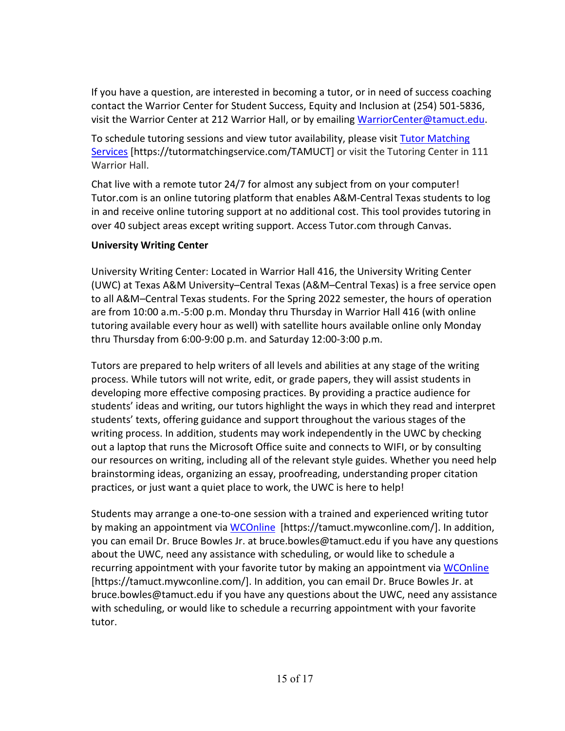If you have a question, are interested in becoming a tutor, or in need of success coaching contact the Warrior Center for Student Success, Equity and Inclusion at (254) 501-5836, visit the Warrior Center at 212 Warrior Hall, or by emailing [WarriorCenter@tamuct.edu.](mailto:WarriorCenter@tamuct.edu)

To schedule tutoring sessions and view tutor availability, please visit Tutor [Matching](https://tutormatchingservice.com/TAMUCT) [Services](https://tutormatchingservice.com/TAMUCT) [https://tutormatchingservice.com/TAMUCT] or visit the Tutoring Center in 111 Warrior Hall.

Chat live with a remote tutor 24/7 for almost any subject from on your computer! Tutor.com is an online tutoring platform that enables A&M-Central Texas students to log in and receive online tutoring support at no additional cost. This tool provides tutoring in over 40 subject areas except writing support. Access Tutor.com through Canvas.

## **University Writing Center**

University Writing Center: Located in Warrior Hall 416, the University Writing Center (UWC) at Texas A&M University–Central Texas (A&M–Central Texas) is a free service open to all A&M–Central Texas students. For the Spring 2022 semester, the hours of operation are from 10:00 a.m.-5:00 p.m. Monday thru Thursday in Warrior Hall 416 (with online tutoring available every hour as well) with satellite hours available online only Monday thru Thursday from 6:00-9:00 p.m. and Saturday 12:00-3:00 p.m.

Tutors are prepared to help writers of all levels and abilities at any stage of the writing process. While tutors will not write, edit, or grade papers, they will assist students in developing more effective composing practices. By providing a practice audience for students' ideas and writing, our tutors highlight the ways in which they read and interpret students' texts, offering guidance and support throughout the various stages of the writing process. In addition, students may work independently in the UWC by checking out a laptop that runs the Microsoft Office suite and connects to WIFI, or by consulting our resources on writing, including all of the relevant style guides. Whether you need help brainstorming ideas, organizing an essay, proofreading, understanding proper citation practices, or just want a quiet place to work, the UWC is here to help!

Students may arrange a one-to-one session with a trained and experienced writing tutor by making an appointment via [WCOnline](https://tamuct.mywconline.com/) [https://tamuct.mywconline.com/]. In addition, you can email Dr. Bruce Bowles Jr. at bruce.bowles@tamuct.edu if you have any questions about the UWC, need any assistance with scheduling, or would like to schedule a recurring appointment with your favorite tutor by making an appointment via [WCOnline](https://tamuct.mywconline.com/) [https://tamuct.mywconline.com/]. In addition, you can email Dr. Bruce Bowles Jr. at bruce.bowles@tamuct.edu if you have any questions about the UWC, need any assistance with scheduling, or would like to schedule a recurring appointment with your favorite tutor.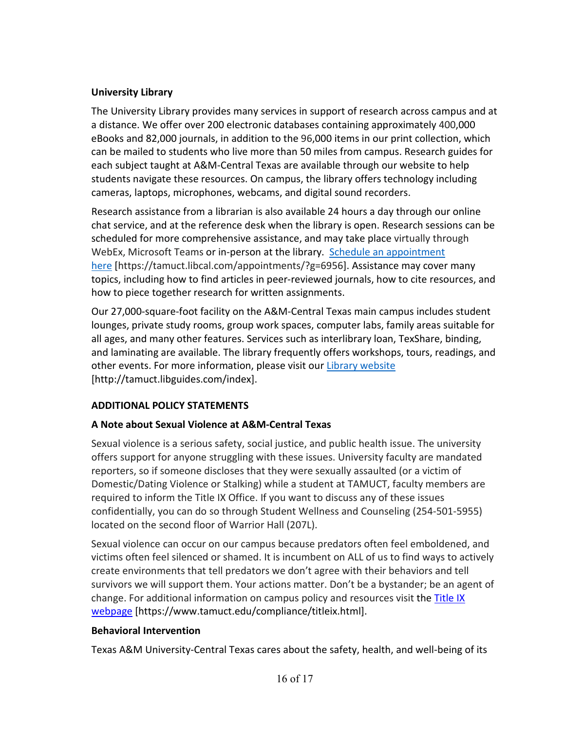## **University Library**

The University Library provides many services in support of research across campus and at a distance. We offer over 200 electronic databases containing approximately 400,000 eBooks and 82,000 journals, in addition to the 96,000 items in our print collection, which can be mailed to students who live more than 50 miles from campus. Research guides for each subject taught at A&M-Central Texas are available through our website to help students navigate these resources. On campus, the library offers technology including cameras, laptops, microphones, webcams, and digital sound recorders.

Research assistance from a librarian is also available 24 hours a day through our online chat service, and at the reference desk when the library is open. Research sessions can be scheduled for more comprehensive assistance, and may take place virtually through WebEx, Microsoft Teams or in-person at the library. Schedule an [appointment](https://nam04.safelinks.protection.outlook.com/?url=https%3A%2F%2Ftamuct.libcal.com%2Fappointments%2F%3Fg%3D6956&data=04%7C01%7Clisa.bunkowski%40tamuct.edu%7Cde2c07d9f5804f09518008d9ab7ba6ff%7C9eed4e3000f744849ff193ad8005acec%7C0%7C0%7C637729369835011558%7CUnknown%7CTWFpbGZsb3d8eyJWIjoiMC4wLjAwMDAiLCJQIjoiV2luMzIiLCJBTiI6Ik1haWwiLCJXVCI6Mn0%3D%7C3000&sdata=KhtjgRSAw9aq%2FoBsB6wyu8b7PSuGN5EGPypzr3Ty2No%3D&reserved=0) [here](https://nam04.safelinks.protection.outlook.com/?url=https%3A%2F%2Ftamuct.libcal.com%2Fappointments%2F%3Fg%3D6956&data=04%7C01%7Clisa.bunkowski%40tamuct.edu%7Cde2c07d9f5804f09518008d9ab7ba6ff%7C9eed4e3000f744849ff193ad8005acec%7C0%7C0%7C637729369835011558%7CUnknown%7CTWFpbGZsb3d8eyJWIjoiMC4wLjAwMDAiLCJQIjoiV2luMzIiLCJBTiI6Ik1haWwiLCJXVCI6Mn0%3D%7C3000&sdata=KhtjgRSAw9aq%2FoBsB6wyu8b7PSuGN5EGPypzr3Ty2No%3D&reserved=0) [https://tamuct.libcal.com/appointments/?g=6956]. Assistance may cover many topics, including how to find articles in peer-reviewed journals, how to cite resources, and how to piece together research for written assignments.

Our 27,000-square-foot facility on the A&M-Central Texas main campus includes student lounges, private study rooms, group work spaces, computer labs, family areas suitable for all ages, and many other features. Services such as interlibrary loan, TexShare, binding, and laminating are available. The library frequently offers workshops, tours, readings, and other events. For more information, please visit our Library [website](https://nam04.safelinks.protection.outlook.com/?url=https%3A%2F%2Ftamuct.libguides.com%2Findex&data=04%7C01%7Clisa.bunkowski%40tamuct.edu%7C7d8489e8839a4915335f08d916f067f2%7C9eed4e3000f744849ff193ad8005acec%7C0%7C0%7C637566044056484222%7CUnknown%7CTWFpbGZsb3d8eyJWIjoiMC4wLjAwMDAiLCJQIjoiV2luMzIiLCJBTiI6Ik1haWwiLCJXVCI6Mn0%3D%7C1000&sdata=2R755V6rcIyedGrd4Os5rkgn1PvhHKU3kUV1vBKiHFo%3D&reserved=0) [http://tamuct.libguides.com/index].

# **ADDITIONAL POLICY STATEMENTS**

## **A Note about Sexual Violence at A&M-Central Texas**

Sexual violence is a serious safety, social justice, and public health issue. The university offers support for anyone struggling with these issues. University faculty are mandated reporters, so if someone discloses that they were sexually assaulted (or a victim of Domestic/Dating Violence or Stalking) while a student at TAMUCT, faculty members are required to inform the Title IX Office. If you want to discuss any of these issues confidentially, you can do so through Student Wellness and Counseling (254-501-5955) located on the second floor of Warrior Hall (207L).

Sexual violence can occur on our campus because predators often feel emboldened, and victims often feel silenced or shamed. It is incumbent on ALL of us to find ways to actively create environments that tell predators we don't agree with their behaviors and tell survivors we will support them. Your actions matter. Don't be a bystander; be an agent of change. For additional information on campus policy and resources visit the **Title IX** [webpage](https://www.tamuct.edu/compliance/titleix.html) [\[https://www.tamuct.edu/compliance/titleix.html\]](https://www.tamuct.edu/compliance/titleix.html).

## **Behavioral Intervention**

Texas A&M University-Central Texas cares about the safety, health, and well-being of its